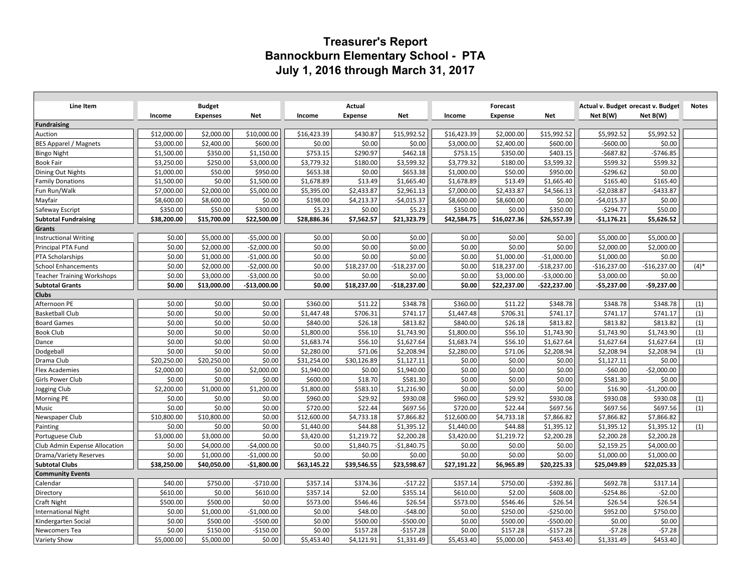## **Treasurer's Report Bannockburn Elementary School - PTA July 1, 2016 through March 31, 2017**

| Line Item                         |             | <b>Budget</b>   |              |             | Actual         |               |             | Forecast    |               | Actual v. Budget orecast v. Budget |               | <b>Notes</b> |
|-----------------------------------|-------------|-----------------|--------------|-------------|----------------|---------------|-------------|-------------|---------------|------------------------------------|---------------|--------------|
|                                   | Income      | <b>Expenses</b> | <b>Net</b>   | Income      | <b>Expense</b> | <b>Net</b>    | Income      | Expense     | <b>Net</b>    | Net B(W)                           | Net B(W)      |              |
| <b>Fundraising</b>                |             |                 |              |             |                |               |             |             |               |                                    |               |              |
| Auction                           | \$12,000.00 | \$2,000.00      | \$10,000.00  | \$16,423.39 | \$430.87       | \$15,992.52   | \$16,423.39 | \$2,000.00  | \$15,992.52   | \$5,992.52                         | \$5,992.52    |              |
| <b>BES Apparel / Magnets</b>      | \$3,000.00  | \$2,400.00      | \$600.00     | \$0.00      | \$0.00         | \$0.00        | \$3,000.00  | \$2,400.00  | \$600.00      | $-5600.00$                         | \$0.00        |              |
| <b>Bingo Night</b>                | \$1,500.00  | \$350.00        | \$1,150.00   | \$753.15    | \$290.97       | \$462.18      | \$753.15    | \$350.00    | \$403.15      | $-$687.82$                         | $-$746.85$    |              |
| <b>Book Fair</b>                  | \$3,250.00  | \$250.00        | \$3,000.00   | \$3,779.32  | \$180.00       | \$3,599.32    | \$3,779.32  | \$180.00    | \$3,599.32    | \$599.32                           | \$599.32      |              |
| Dining Out Nights                 | \$1,000.00  | \$50.00         | \$950.00     | \$653.38    | \$0.00         | \$653.38      | \$1,000.00  | \$50.00     | \$950.00      | $-$ \$296.62                       | \$0.00        |              |
| <b>Family Donations</b>           | \$1,500.00  | \$0.00          | \$1,500.00   | \$1,678.89  | \$13.49        | \$1,665.40    | \$1,678.89  | \$13.49     | \$1,665.40    | \$165.40                           | \$165.40      |              |
| Fun Run/Walk                      | \$7,000.00  | \$2,000.00      | \$5,000.00   | \$5,395.00  | \$2,433.87     | \$2,961.13    | \$7,000.00  | \$2,433.87  | \$4,566.13    | $-$2,038.87$                       | $-$433.87$    |              |
| Mayfair                           | \$8,600.00  | \$8,600.00      | \$0.00       | \$198.00    | \$4,213.37     | $-$4,015.37$  | \$8,600.00  | \$8,600.00  | \$0.00        | $-54,015.37$                       | \$0.00        |              |
| Safeway Escript                   | \$350.00    | \$50.00         | \$300.00     | \$5.23      | \$0.00         | \$5.23        | \$350.00    | \$0.00      | \$350.00      | $-$294.77$                         | \$50.00       |              |
| <b>Subtotal Fundraising</b>       | \$38,200.00 | \$15,700.00     | \$22,500.00  | \$28,886.36 | \$7,562.57     | \$21,323.79   | \$42,584.75 | \$16,027.36 | \$26,557.39   | $-$1,176.21$                       | \$5,626.52    |              |
| Grants                            |             |                 |              |             |                |               |             |             |               |                                    |               |              |
| <b>Instructional Writing</b>      | \$0.00      | \$5,000.00      | $-$5,000.00$ | \$0.00      | \$0.00         | \$0.00        | \$0.00      | \$0.00      | \$0.00        | \$5,000.00                         | \$5,000.00    |              |
| Principal PTA Fund                | \$0.00      | \$2,000.00      | $-$2,000.00$ | \$0.00      | \$0.00         | \$0.00        | \$0.00      | \$0.00      | \$0.00        | \$2,000.00                         | \$2,000.00    |              |
| PTA Scholarships                  | \$0.00      | \$1,000.00      | $-$1,000.00$ | \$0.00      | \$0.00         | \$0.00        | \$0.00      | \$1,000.00  | $-$1,000.00$  | \$1,000.00                         | \$0.00        |              |
| <b>School Enhancements</b>        | \$0.00      | \$2,000.00      | $-$2,000.00$ | \$0.00      | \$18,237.00    | $-$18,237.00$ | \$0.00      | \$18,237.00 | $-$18,237.00$ | -\$16,237.00                       | $-$16,237.00$ | $(4)$ *      |
| <b>Teacher Training Workshops</b> | \$0.00      | \$3,000.00      | $-$3,000.00$ | \$0.00      | \$0.00         | \$0.00        | \$0.00      | \$3,000.00  | $-$3,000.00$  | \$3,000.00                         | \$0.00        |              |
| <b>Subtotal Grants</b>            | \$0.00      | \$13,000.00     | -\$13,000.00 | \$0.00      | \$18,237.00    | $-$18,237.00$ | \$0.00      | \$22,237.00 | $-$22,237.00$ | $-$5,237.00$                       | $-$9,237.00$  |              |
| <b>Clubs</b>                      |             |                 |              |             |                |               |             |             |               |                                    |               |              |
| Afternoon PE                      | \$0.00      | \$0.00          | \$0.00       | \$360.00    | \$11.22        | \$348.78      | \$360.00    | \$11.22     | \$348.78      | \$348.78                           | \$348.78      | (1)          |
| <b>Basketball Club</b>            | \$0.00      | \$0.00          | \$0.00       | \$1,447.48  | \$706.31       | \$741.17      | \$1,447.48  | \$706.31    | \$741.17      | \$741.17                           | \$741.17      | (1)          |
| <b>Board Games</b>                | \$0.00      | \$0.00          | \$0.00       | \$840.00    | \$26.18        | \$813.82      | \$840.00    | \$26.18     | \$813.82      | \$813.82                           | \$813.82      | (1)          |
| <b>Book Club</b>                  | \$0.00      | \$0.00          | \$0.00       | \$1,800.00  | \$56.10        | \$1,743.90    | \$1,800.00  | \$56.10     | \$1,743.90    | \$1,743.90                         | \$1,743.90    | (1)          |
| Dance                             | \$0.00      | \$0.00          | \$0.00       | \$1,683.74  | \$56.10        | \$1,627.64    | \$1,683.74  | \$56.10     | \$1,627.64    | \$1,627.64                         | \$1,627.64    | (1)          |
| Dodgeball                         | \$0.00      | \$0.00          | \$0.00       | \$2,280.00  | \$71.06        | \$2,208.94    | \$2,280.00  | \$71.06     | \$2,208.94    | \$2,208.94                         | \$2,208.94    | (1)          |
| Drama Club                        | \$20,250.00 | \$20,250.00     | \$0.00       | \$31,254.00 | \$30,126.89    | \$1,127.11    | \$0.00      | \$0.00      | \$0.00        | \$1,127.11                         | \$0.00        |              |
| <b>Flex Academies</b>             | \$2,000.00  | \$0.00          | \$2,000.00   | \$1,940.00  | \$0.00         | \$1,940.00    | \$0.00      | \$0.00      | \$0.00        | $-$60.00$                          | $-$2,000.00$  |              |
| Girls Power Club                  | \$0.00      | \$0.00          | \$0.00       | \$600.00    | \$18.70        | \$581.30      | \$0.00      | \$0.00      | \$0.00        | \$581.30                           | \$0.00        |              |
| Jogging Club                      | \$2,200.00  | \$1,000.00      | \$1,200.00   | \$1,800.00  | \$583.10       | \$1,216.90    | \$0.00      | \$0.00      | \$0.00        | \$16.90                            | $-$1,200.00$  |              |
| Morning PE                        | \$0.00      | \$0.00          | \$0.00       | \$960.00    | \$29.92        | \$930.08      | \$960.00    | \$29.92     | \$930.08      | \$930.08                           | \$930.08      | (1)          |
| Music                             | \$0.00      | \$0.00          | \$0.00       | \$720.00    | \$22.44        | \$697.56      | \$720.00    | \$22.44     | \$697.56      | \$697.56                           | \$697.56      | (1)          |
| Newspaper Club                    | \$10,800.00 | \$10,800.00     | \$0.00       | \$12,600.00 | \$4,733.18     | \$7,866.82    | \$12,600.00 | \$4,733.18  | \$7,866.82    | \$7,866.82                         | \$7,866.82    |              |
| Painting                          | \$0.00      | \$0.00          | \$0.00       | \$1,440.00  | \$44.88        | \$1,395.12    | \$1,440.00  | \$44.88     | \$1,395.12    | \$1,395.12                         | \$1,395.12    | (1)          |
| Portuguese Club                   | \$3,000.00  | \$3,000.00      | \$0.00       | \$3,420.00  | \$1,219.72     | \$2,200.28    | \$3,420.00  | \$1,219.72  | \$2,200.28    | \$2,200.28                         | \$2,200.28    |              |
| Club Admin Expense Allocation     | \$0.00      | \$4,000.00      | $-$4,000.00$ | \$0.00      | \$1,840.75     | $-$1,840.75$  | \$0.00      | \$0.00      | \$0.00        | \$2,159.25                         | \$4,000.00    |              |
| Drama/Variety Reserves            | \$0.00      | \$1,000.00      | $-$1,000.00$ | \$0.00      | \$0.00         | \$0.00        | \$0.00      | \$0.00      | \$0.00        | \$1,000.00                         | \$1,000.00    |              |
| <b>Subtotal Clubs</b>             | \$38,250.00 | \$40,050.00     | $-$1,800.00$ | \$63,145.22 | \$39,546.55    | \$23,598.67   | \$27,191.22 | \$6,965.89  | \$20,225.33   | \$25,049.89                        | \$22,025.33   |              |
| <b>Community Events</b>           |             |                 |              |             |                |               |             |             |               |                                    |               |              |
| Calendar                          | \$40.00     | \$750.00        | $-5710.00$   | \$357.14    | \$374.36       | $-517.22$     | \$357.14    | \$750.00    | $-5392.86$    | \$692.78                           | \$317.14      |              |
| Directory                         | \$610.00    | \$0.00          | \$610.00     | \$357.14    | \$2.00         | \$355.14      | \$610.00    | \$2.00      | \$608.00      | $-$254.86$                         | $-52.00$      |              |
| Craft Night                       | \$500.00    | \$500.00        | \$0.00       | \$573.00    | \$546.46       | \$26.54       | \$573.00    | \$546.46    | \$26.54       | \$26.54                            | \$26.54       |              |
| <b>International Night</b>        | \$0.00      | \$1,000.00      | $-$1,000.00$ | \$0.00      | \$48.00        | $-$48.00$     | \$0.00      | \$250.00    | $-$ \$250.00  | \$952.00                           | \$750.00      |              |
| Kindergarten Social               | \$0.00      | \$500.00        | $-$500.00$   | \$0.00      | \$500.00       | $-$ \$500.00  | \$0.00      | \$500.00    | $-$500.00$    | \$0.00                             | \$0.00        |              |
| Newcomers Tea                     | \$0.00      | \$150.00        | $-$150.00$   | \$0.00      | \$157.28       | $-$157.28$    | \$0.00      | \$157.28    | $-$157.28$    | $-57.28$                           | $-57.28$      |              |
| Variety Show                      | \$5,000.00  | \$5,000.00      | \$0.00       | \$5,453.40  | \$4,121.91     | \$1,331.49    | \$5,453.40  | \$5,000.00  | \$453.40      | \$1,331.49                         | \$453.40      |              |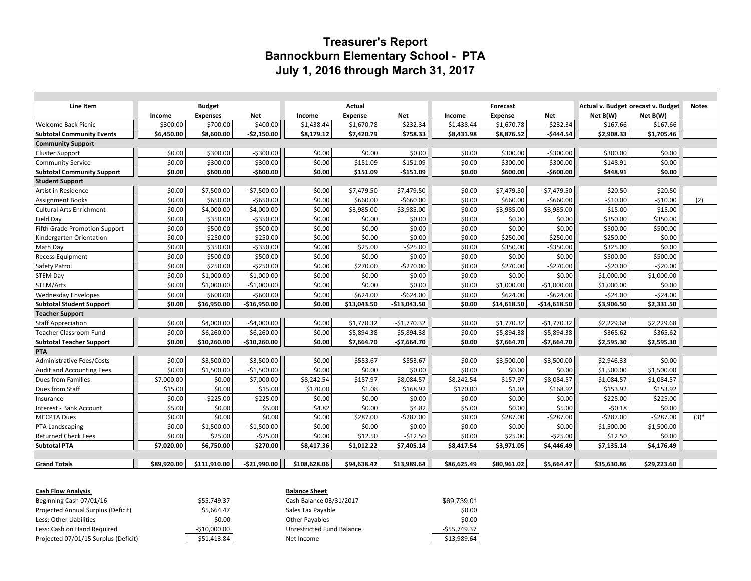## **Treasurer's Report Bannockburn Elementary School - PTA July 1, 2016 through March 31, 2017**

| Line Item                         | <b>Budget</b> |                 |               | Actual       |                |               |             | Forecast       |               | Actual v. Budget orecast v. Budget | <b>Notes</b> |         |
|-----------------------------------|---------------|-----------------|---------------|--------------|----------------|---------------|-------------|----------------|---------------|------------------------------------|--------------|---------|
|                                   | Income        | <b>Expenses</b> | <b>Net</b>    | Income       | <b>Expense</b> | Net           | Income      | <b>Expense</b> | Net           | Net B(W)                           | Net B(W)     |         |
| <b>Welcome Back Picnic</b>        | \$300.00      | \$700.00        | $-5400.00$    | \$1,438.44   | \$1,670.78     | $-5232.34$    | \$1,438.44  | \$1,670.78     | $-5232.34$    | \$167.66                           | \$167.66     |         |
| <b>Subtotal Community Events</b>  | \$6,450.00    | \$8,600.00      | $-52,150.00$  | \$8,179.12   | \$7,420.79     | \$758.33      | \$8,431.98  | \$8,876.52     | -\$444.54     | \$2,908.33                         | \$1,705.46   |         |
| <b>Community Support</b>          |               |                 |               |              |                |               |             |                |               |                                    |              |         |
| Cluster Support                   | \$0.00        | \$300.00        | $-5300.00$    | \$0.00       | \$0.00         | \$0.00        | \$0.00      | \$300.00       | $-5300.00$    | \$300.00                           | \$0.00       |         |
| <b>Community Service</b>          | \$0.00        | \$300.00        | $-5300.00$    | \$0.00       | \$151.09       | $-5151.09$    | \$0.00      | \$300.00       | $-5300.00$    | \$148.91                           | \$0.00       |         |
| <b>Subtotal Community Support</b> | \$0.00        | \$600.00        | $-$600.00$    | \$0.00       | \$151.09       | $-$151.09$    | \$0.00      | \$600.00       | $-$600.00$    | \$448.91                           | \$0.00       |         |
| <b>Student Support</b>            |               |                 |               |              |                |               |             |                |               |                                    |              |         |
| Artist in Residence               | \$0.00        | \$7,500.00      | $-$7,500.00$  | \$0.00       | \$7,479.50     | $-$7,479.50$  | \$0.00      | \$7,479.50     | $-57,479.50$  | \$20.50                            | \$20.50      |         |
| <b>Assignment Books</b>           | \$0.00        | \$650.00        | $-$650.00$    | \$0.00       | \$660.00       | $-5660.00$    | \$0.00      | \$660.00       | $-5660.00$    | $-510.00$                          | $-510.00$    | (2)     |
| <b>Cultural Arts Enrichment</b>   | \$0.00        | \$4,000.00      | $-$4,000.00$  | \$0.00       | \$3,985.00     | $-53,985.00$  | \$0.00      | \$3,985.00     | $-53,985.00$  | \$15.00                            | \$15.00      |         |
| Field Day                         | \$0.00        | \$350.00        | $-5350.00$    | \$0.00       | \$0.00         | \$0.00        | \$0.00      | \$0.00         | \$0.00        | \$350.00                           | \$350.00     |         |
| Fifth Grade Promotion Support     | \$0.00        | \$500.00        | $-$500.00$    | \$0.00       | \$0.00         | \$0.00        | \$0.00      | \$0.00         | \$0.00        | \$500.00                           | \$500.00     |         |
| Kindergarten Orientation          | \$0.00        | \$250.00        | $-5250.00$    | \$0.00       | \$0.00         | \$0.00        | \$0.00      | \$250.00       | $-5250.00$    | \$250.00                           | \$0.00       |         |
| Math Day                          | \$0.00        | \$350.00        | $-5350.00$    | \$0.00       | \$25.00        | $-525.00$     | \$0.00      | \$350.00       | $-5350.00$    | \$325.00                           | \$0.00       |         |
| <b>Recess Equipment</b>           | \$0.00        | \$500.00        | $-$500.00$    | \$0.00       | \$0.00         | \$0.00        | \$0.00      | \$0.00         | \$0.00        | \$500.00                           | \$500.00     |         |
| Safety Patrol                     | \$0.00        | \$250.00        | $-5250.00$    | \$0.00       | \$270.00       | $-5270.00$    | \$0.00      | \$270.00       | $-5270.00$    | $-520.00$                          | $-520.00$    |         |
| <b>STEM Day</b>                   | \$0.00        | \$1,000.00      | $-$1,000.00$  | \$0.00       | \$0.00         | \$0.00        | \$0.00      | \$0.00         | \$0.00        | \$1,000.00                         | \$1,000.00   |         |
| STEM/Arts                         | \$0.00        | \$1,000.00      | $-$1,000.00$  | \$0.00       | \$0.00         | \$0.00        | \$0.00      | \$1,000.00     | $-$1,000.00$  | \$1,000.00                         | \$0.00       |         |
| <b>Wednesday Envelopes</b>        | \$0.00        | \$600.00        | $-$600.00$    | \$0.00       | \$624.00       | $-5624.00$    | \$0.00      | \$624.00       | $-5624.00$    | $-524.00$                          | $-524.00$    |         |
| <b>Subtotal Student Support</b>   | \$0.00        | \$16,950.00     | $-$16,950.00$ | \$0.00       | \$13.043.50    | $-$13,043.50$ | \$0.00      | \$14.618.50    | $-$14,618.50$ | \$3,906.50                         | \$2,331.50   |         |
| <b>Teacher Support</b>            |               |                 |               |              |                |               |             |                |               |                                    |              |         |
| <b>Staff Appreciation</b>         | \$0.00        | \$4,000.00      | $-$4,000.00$  | \$0.00       | \$1.770.32     | $-$1,770.32$  | \$0.00      | \$1.770.32     | $-$1,770.32$  | \$2,229.68                         | \$2,229.68   |         |
| <b>Teacher Classroom Fund</b>     | \$0.00        | \$6,260.00      | $-56,260.00$  | \$0.00       | \$5,894.38     | $-$5,894.38$  | \$0.00      | \$5,894.38     | $-$5,894.38$  | \$365.62                           | \$365.62     |         |
| <b>Subtotal Teacher Support</b>   | \$0.00        | \$10,260.00     | -\$10,260.00  | \$0.00       | \$7,664.70     | $-$7,664.70$  | \$0.00      | \$7,664.70     | $-$7,664.70$  | \$2,595.30                         | \$2,595.30   |         |
| PTA                               |               |                 |               |              |                |               |             |                |               |                                    |              |         |
| Administrative Fees/Costs         | \$0.00        | \$3,500.00      | $-53,500.00$  | \$0.00       | \$553.67       | $-5553.67$    | \$0.00      | \$3,500.00     | $-53,500.00$  | \$2,946.33                         | \$0.00       |         |
| <b>Audit and Accounting Fees</b>  | \$0.00        | \$1,500.00      | $-$1,500.00$  | \$0.00       | \$0.00         | \$0.00        | \$0.00      | \$0.00         | \$0.00        | \$1,500.00                         | \$1,500.00   |         |
| Dues from Families                | \$7,000.00    | \$0.00          | \$7,000.00    | \$8,242.54   | \$157.97       | \$8,084.57    | \$8,242.54  | \$157.97       | \$8,084.57    | \$1,084.57                         | \$1.084.57   |         |
| Dues from Staff                   | \$15.00       | \$0.00          | \$15.00       | \$170.00     | \$1.08         | \$168.92      | \$170.00    | \$1.08         | \$168.92      | \$153.92                           | \$153.92     |         |
| Insurance                         | \$0.00        | \$225.00        | $-$225.00$    | \$0.00       | \$0.00         | \$0.00        | \$0.00      | \$0.00         | \$0.00        | \$225.00                           | \$225.00     |         |
| Interest - Bank Account           | \$5.00        | \$0.00          | \$5.00        | \$4.82       | \$0.00         | \$4.82        | \$5.00      | \$0.00         | \$5.00        | $-50.18$                           | \$0.00       |         |
| <b>MCCPTA Dues</b>                | \$0.00        | \$0.00          | \$0.00        | \$0.00       | \$287.00       | $-5287.00$    | \$0.00      | \$287.00       | $-5287.00$    | $-5287.00$                         | $-5287.00$   | $(3)^*$ |
| PTA Landscaping                   | \$0.00        | \$1,500.00      | $-$1,500.00$  | \$0.00       | \$0.00         | \$0.00        | \$0.00      | \$0.00         | \$0.00        | \$1,500.00                         | \$1,500.00   |         |
| <b>Returned Check Fees</b>        | \$0.00        | \$25.00         | $-525.00$     | \$0.00       | \$12.50        | $-$12.50$     | \$0.00      | \$25.00        | $-$25.00$     | \$12.50                            | \$0.00       |         |
| <b>Subtotal PTA</b>               | \$7.020.00    | \$6,750.00      | \$270.00      | \$8,417.36   | \$1,012.22     | \$7,405.14    | \$8,417.54  | \$3,971.05     | \$4,446.49    | \$7,135.14                         | \$4,176.49   |         |
|                                   |               |                 |               |              |                |               |             |                |               |                                    |              |         |
| <b>Grand Totals</b>               | \$89,920.00   | \$111,910.00    | -\$21,990.00  | \$108,628.06 | \$94,638.42    | \$13,989.64   | \$86,625.49 | \$80,961.02    | \$5,664.47    | \$35,630.86                        | \$29,223.60  |         |

| <b>Cash Flow Analysis</b>            |               | <b>Balance Sheet</b>      |               |  |  |  |  |
|--------------------------------------|---------------|---------------------------|---------------|--|--|--|--|
| Beginning Cash 07/01/16              | \$55.749.37   | Cash Balance 03/31/2017   | \$69.739.01   |  |  |  |  |
| Projected Annual Surplus (Deficit)   | \$5.664.47    | Sales Tax Payable         | \$0.00        |  |  |  |  |
| Less: Other Liabilities              | \$0.00        | Other Payables            | \$0.00        |  |  |  |  |
| Less: Cash on Hand Required          | $-$10,000.00$ | Unrestricted Fund Balance | $-555,749.37$ |  |  |  |  |
| Projected 07/01/15 Surplus (Deficit) | \$51,413.84   | Net Income                | \$13,989.64   |  |  |  |  |